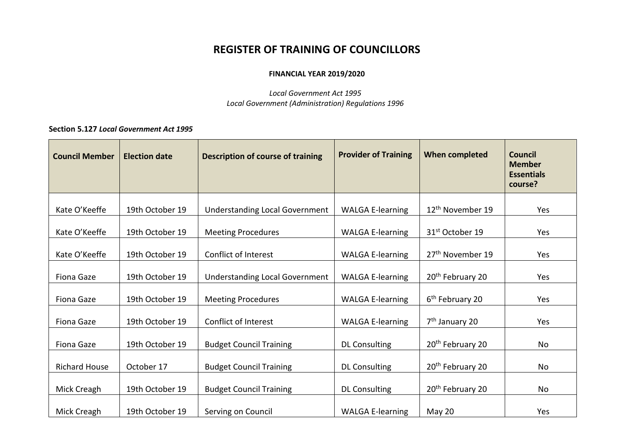# **REGISTER OF TRAINING OF COUNCILLORS**

# **FINANCIAL YEAR 2019/2020**

*Local Government Act 1995 Local Government (Administration) Regulations 1996*

# **Section 5.127** *Local Government Act 1995*

| <b>Council Member</b> | <b>Election date</b> | <b>Description of course of training</b> | <b>Provider of Training</b> | When completed               | <b>Council</b><br><b>Member</b><br><b>Essentials</b><br>course? |
|-----------------------|----------------------|------------------------------------------|-----------------------------|------------------------------|-----------------------------------------------------------------|
| Kate O'Keeffe         | 19th October 19      | <b>Understanding Local Government</b>    | <b>WALGA E-learning</b>     | 12 <sup>th</sup> November 19 | Yes                                                             |
| Kate O'Keeffe         | 19th October 19      | <b>Meeting Procedures</b>                | <b>WALGA E-learning</b>     | 31 <sup>st</sup> October 19  | Yes                                                             |
| Kate O'Keeffe         | 19th October 19      | Conflict of Interest                     | <b>WALGA E-learning</b>     | 27 <sup>th</sup> November 19 | Yes                                                             |
| Fiona Gaze            | 19th October 19      | <b>Understanding Local Government</b>    | <b>WALGA E-learning</b>     | 20 <sup>th</sup> February 20 | Yes                                                             |
| <b>Fiona Gaze</b>     | 19th October 19      | <b>Meeting Procedures</b>                | <b>WALGA E-learning</b>     | 6 <sup>th</sup> February 20  | Yes                                                             |
| <b>Fiona Gaze</b>     | 19th October 19      | Conflict of Interest                     | <b>WALGA E-learning</b>     | 7 <sup>th</sup> January 20   | Yes                                                             |
| <b>Fiona Gaze</b>     | 19th October 19      | <b>Budget Council Training</b>           | <b>DL Consulting</b>        | 20 <sup>th</sup> February 20 | No                                                              |
| <b>Richard House</b>  | October 17           | <b>Budget Council Training</b>           | <b>DL Consulting</b>        | 20 <sup>th</sup> February 20 | No                                                              |
| Mick Creagh           | 19th October 19      | <b>Budget Council Training</b>           | <b>DL Consulting</b>        | 20 <sup>th</sup> February 20 | No                                                              |
| Mick Creagh           | 19th October 19      | Serving on Council                       | <b>WALGA E-learning</b>     | May 20                       | Yes                                                             |